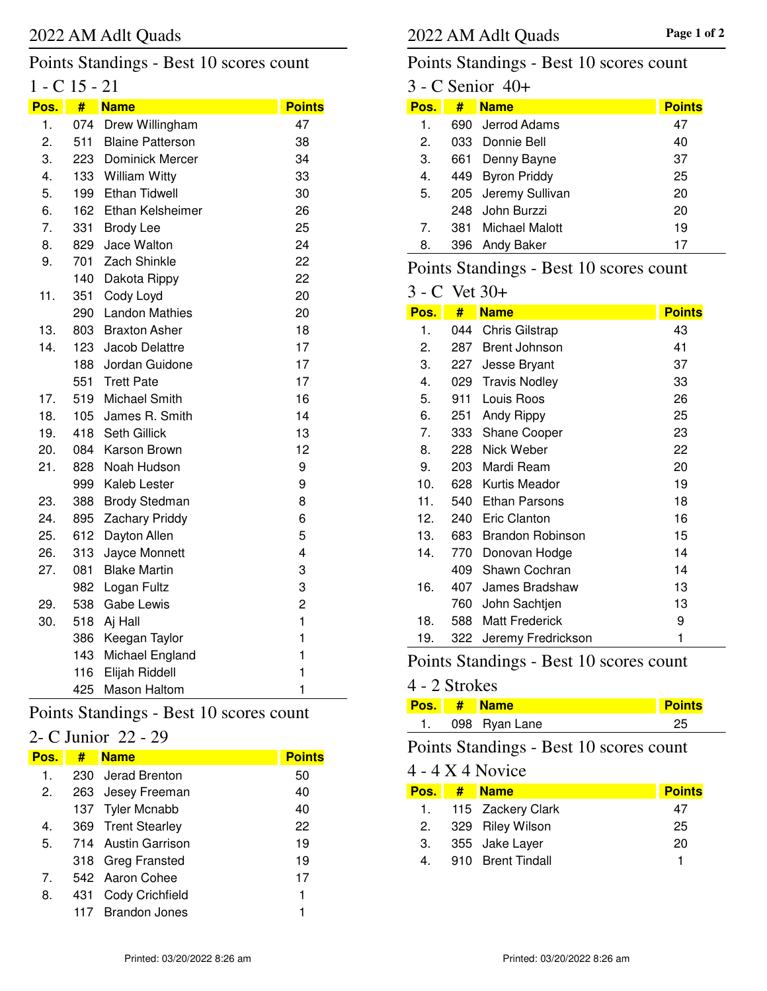#### $1 - C$  15 - 21 Points Standings - Best 10 scores count

| Pos. | #   | <b>Name</b>             | <b>Points</b> |
|------|-----|-------------------------|---------------|
| 1.   | 074 | Drew Willingham         | 47            |
| 2.   | 511 | <b>Blaine Patterson</b> | 38            |
| 3.   | 223 | Dominick Mercer         | 34            |
| 4.   | 133 | <b>William Witty</b>    | 33            |
| 5.   | 199 | <b>Ethan Tidwell</b>    | 30            |
| 6.   | 162 | Ethan Kelsheimer        | 26            |
| 7.   | 331 | <b>Brody Lee</b>        | 25            |
| 8.   | 829 | Jace Walton             | 24            |
| 9.   | 701 | Zach Shinkle            | 22            |
|      | 140 | Dakota Rippy            | 22            |
| 11.  | 351 | Cody Loyd               | 20            |
|      | 290 | <b>Landon Mathies</b>   | 20            |
| 13.  | 803 | <b>Braxton Asher</b>    | 18            |
| 14.  | 123 | Jacob Delattre          | 17            |
|      | 188 | Jordan Guidone          | 17            |
|      | 551 | <b>Trett Pate</b>       | 17            |
| 17.  | 519 | Michael Smith           | 16            |
| 18.  | 105 | James R. Smith          | 14            |
| 19.  | 418 | Seth Gillick            | 13            |
| 20.  | 084 | Karson Brown            | 12            |
| 21.  | 828 | Noah Hudson             | 9             |
|      | 999 | Kaleb Lester            | 9             |
| 23.  | 388 | <b>Brody Stedman</b>    | 8             |
| 24.  | 895 | <b>Zachary Priddy</b>   | 6             |
| 25.  | 612 | Dayton Allen            | 5             |
| 26.  | 313 | Jayce Monnett           | 4             |
| 27.  | 081 | <b>Blake Martin</b>     | 3             |
|      | 982 | Logan Fultz             | 3             |
| 29.  | 538 | <b>Gabe Lewis</b>       | 2             |
| 30.  | 518 | Aj Hall                 | $\mathbf{1}$  |
|      | 386 | Keegan Taylor           | $\mathbf{1}$  |
|      | 143 | Michael England         | $\mathbf{1}$  |
|      | 116 | Elijah Riddell          | $\mathbf{1}$  |
|      | 425 | <b>Mason Haltom</b>     | 1             |
|      |     |                         |               |

# Points Standings - Best 10 scores count

# 2- C Junior 22 - 29

| Pos.                             | #   | <b>Name</b>            | <b>Points</b> |
|----------------------------------|-----|------------------------|---------------|
| 1.                               |     | 230 Jerad Brenton      | 50            |
| 2.                               |     | 263 Jesey Freeman      | 40            |
|                                  |     | 137 Tyler Mcnabb       | 40            |
| 4.                               |     | 369 Trent Stearley     | 22            |
| 5.                               |     | 714 Austin Garrison    | 19            |
|                                  |     | 318 Greg Fransted      | 19            |
| $7_{\scriptscriptstyle{\ddots}}$ |     | 542 Aaron Cohee        | 17            |
| 8.                               | 431 | <b>Cody Crichfield</b> | 1             |
|                                  |     | <b>Brandon Jones</b>   |               |

# Points Standings - Best 10 scores count

|                                |     | 3 - C Senior 40+    |               |
|--------------------------------|-----|---------------------|---------------|
| Pos.                           | #   | <b>Name</b>         | <b>Points</b> |
| 1.                             |     | 690 Jerrod Adams    | 47            |
| $\mathcal{P}$                  |     | 033 Donnie Bell     | 40            |
| З.                             | 661 | Denny Bayne         | 37            |
| 4.                             | 449 | <b>Byron Priddy</b> | 25            |
| 5.                             |     | 205 Jeremy Sullivan | 20            |
|                                |     | 248 John Burzzi     | 20            |
| $7_{\scriptscriptstyle{\sim}}$ |     | 381 Michael Malott  | 19            |
| 8.                             |     | 396 Andy Baker      | 17            |
|                                |     |                     |               |

# Points Standings - Best 10 scores count

#### 3 - C Vet 30+

| Pos. | #   | <b>Name</b>             | <b>Points</b> |
|------|-----|-------------------------|---------------|
| 1.   | 044 | <b>Chris Gilstrap</b>   | 43            |
| 2.   | 287 | <b>Brent Johnson</b>    | 41            |
| 3.   | 227 | Jesse Bryant            | 37            |
| 4.   | 029 | <b>Travis Nodley</b>    | 33            |
| 5.   | 911 | Louis Roos              | 26            |
| 6.   | 251 | Andy Rippy              | 25            |
| 7.   | 333 | <b>Shane Cooper</b>     | 23            |
| 8.   | 228 | Nick Weber              | 22            |
| 9.   | 203 | Mardi Ream              | 20            |
| 10.  | 628 | Kurtis Meador           | 19            |
| 11.  | 540 | Ethan Parsons           | 18            |
| 12.  | 240 | <b>Eric Clanton</b>     | 16            |
| 13.  | 683 | <b>Brandon Robinson</b> | 15            |
| 14.  | 770 | Donovan Hodge           | 14            |
|      | 409 | Shawn Cochran           | 14            |
| 16.  | 407 | James Bradshaw          | 13            |
|      | 760 | John Sachtjen           | 13            |
| 18.  | 588 | <b>Matt Frederick</b>   | 9             |
| 19.  | 322 | Jeremy Fredrickson      | 1             |

# Points Standings - Best 10 scores count

#### 4 - 2 Strokes

|  | Pos. # Name   | Points |
|--|---------------|--------|
|  | 098 Ryan Lane |        |

# Points Standings - Best 10 scores count

#### 4 - 4 X 4 Novice

| Pos. I | # | <b>Name</b>          | <b>Points</b> |
|--------|---|----------------------|---------------|
|        |   | 1. 115 Zackery Clark | 47            |
| 2.     |   | 329 Riley Wilson     | 25            |
| 3.     |   | 355 Jake Layer       | 20            |
| 4.     |   | 910 Brent Tindall    |               |